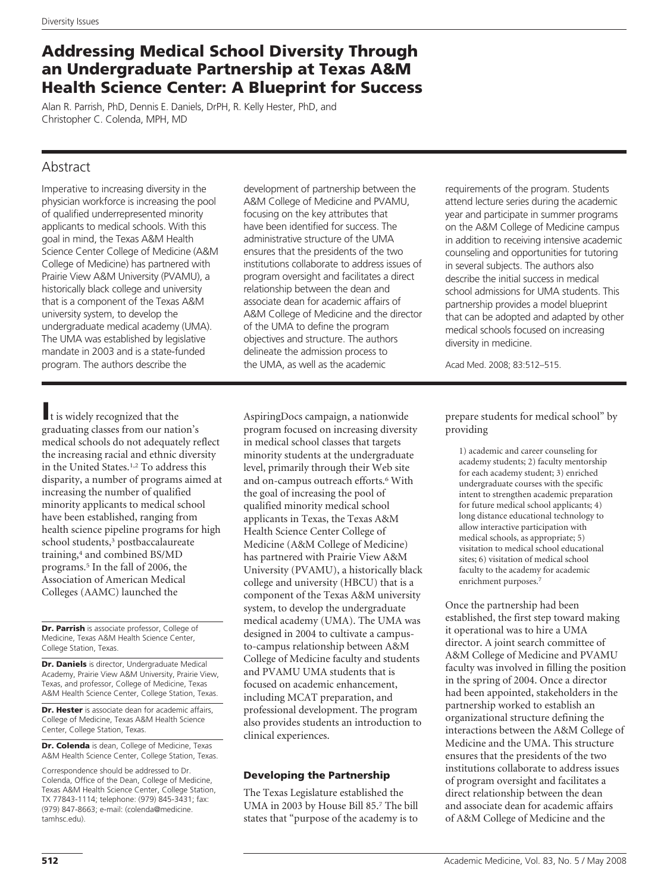# Addressing Medical School Diversity Through an Undergraduate Partnership at Texas A&M Health Science Center: A Blueprint for Success

Alan R. Parrish, PhD, Dennis E. Daniels, DrPH, R. Kelly Hester, PhD, and Christopher C. Colenda, MPH, MD

# Abstract

Imperative to increasing diversity in the physician workforce is increasing the pool of qualified underrepresented minority applicants to medical schools. With this goal in mind, the Texas A&M Health Science Center College of Medicine (A&M College of Medicine) has partnered with Prairie View A&M University (PVAMU), a historically black college and university that is a component of the Texas A&M university system, to develop the undergraduate medical academy (UMA). The UMA was established by legislative mandate in 2003 and is a state-funded program. The authors describe the

It is widely recognized that the graduating classes from our nation's medical schools do not adequately reflect the increasing racial and ethnic diversity in the United States.1,2 To address this disparity, a number of programs aimed at increasing the number of qualified minority applicants to medical school have been established, ranging from health science pipeline programs for high school students,<sup>3</sup> postbaccalaureate training,4 and combined BS/MD programs.5 In the fall of 2006, the Association of American Medical Colleges (AAMC) launched the

Dr. Parrish is associate professor, College of Medicine, Texas A&M Health Science Center, College Station, Texas.

Dr. Daniels is director, Undergraduate Medical Academy, Prairie View A&M University, Prairie View, Texas, and professor, College of Medicine, Texas A&M Health Science Center, College Station, Texas.

Dr. Hester is associate dean for academic affairs, College of Medicine, Texas A&M Health Science Center, College Station, Texas.

Dr. Colenda is dean, College of Medicine, Texas A&M Health Science Center, College Station, Texas.

Correspondence should be addressed to Dr. Colenda, Office of the Dean, College of Medicine, Texas A&M Health Science Center, College Station, TX 77843-1114; telephone: (979) 845-3431; fax: (979) 847-8663; e-mail: (colenda@medicine. tamhsc.edu).

development of partnership between the A&M College of Medicine and PVAMU, focusing on the key attributes that have been identified for success. The administrative structure of the UMA ensures that the presidents of the two institutions collaborate to address issues of program oversight and facilitates a direct relationship between the dean and associate dean for academic affairs of A&M College of Medicine and the director of the UMA to define the program objectives and structure. The authors delineate the admission process to the UMA, as well as the academic

AspiringDocs campaign, a nationwide program focused on increasing diversity in medical school classes that targets minority students at the undergraduate level, primarily through their Web site and on-campus outreach efforts.<sup>6</sup> With the goal of increasing the pool of qualified minority medical school applicants in Texas, the Texas A&M Health Science Center College of Medicine (A&M College of Medicine) has partnered with Prairie View A&M University (PVAMU), a historically black college and university (HBCU) that is a component of the Texas A&M university system, to develop the undergraduate medical academy (UMA). The UMA was designed in 2004 to cultivate a campusto-campus relationship between A&M College of Medicine faculty and students and PVAMU UMA students that is focused on academic enhancement, including MCAT preparation, and professional development. The program also provides students an introduction to clinical experiences.

# Developing the Partnership

The Texas Legislature established the UMA in 2003 by House Bill 85.7 The bill states that "purpose of the academy is to requirements of the program. Students attend lecture series during the academic year and participate in summer programs on the A&M College of Medicine campus in addition to receiving intensive academic counseling and opportunities for tutoring in several subjects. The authors also describe the initial success in medical school admissions for UMA students. This partnership provides a model blueprint that can be adopted and adapted by other medical schools focused on increasing diversity in medicine.

Acad Med. 2008; 83:512–515.

prepare students for medical school" by providing

1) academic and career counseling for academy students; 2) faculty mentorship for each academy student; 3) enriched undergraduate courses with the specific intent to strengthen academic preparation for future medical school applicants; 4) long distance educational technology to allow interactive participation with medical schools, as appropriate; 5) visitation to medical school educational sites; 6) visitation of medical school faculty to the academy for academic enrichment purposes.7

Once the partnership had been established, the first step toward making it operational was to hire a UMA director. A joint search committee of A&M College of Medicine and PVAMU faculty was involved in filling the position in the spring of 2004. Once a director had been appointed, stakeholders in the partnership worked to establish an organizational structure defining the interactions between the A&M College of Medicine and the UMA. This structure ensures that the presidents of the two institutions collaborate to address issues of program oversight and facilitates a direct relationship between the dean and associate dean for academic affairs of A&M College of Medicine and the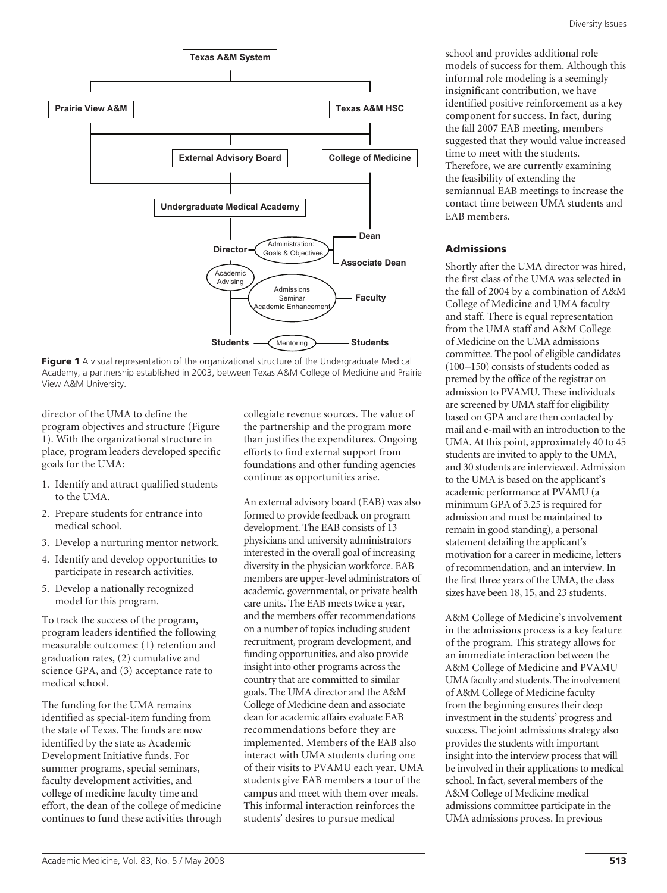

Figure 1 A visual representation of the organizational structure of the Undergraduate Medical Academy, a partnership established in 2003, between Texas A&M College of Medicine and Prairie View A&M University.

director of the UMA to define the program objectives and structure (Figure 1). With the organizational structure in place, program leaders developed specific goals for the UMA:

- 1. Identify and attract qualified students to the UMA.
- 2. Prepare students for entrance into medical school.
- 3. Develop a nurturing mentor network.
- 4. Identify and develop opportunities to participate in research activities.
- 5. Develop a nationally recognized model for this program.

To track the success of the program, program leaders identified the following measurable outcomes: (1) retention and graduation rates, (2) cumulative and science GPA, and (3) acceptance rate to medical school.

The funding for the UMA remains identified as special-item funding from the state of Texas. The funds are now identified by the state as Academic Development Initiative funds. For summer programs, special seminars, faculty development activities, and college of medicine faculty time and effort, the dean of the college of medicine continues to fund these activities through collegiate revenue sources. The value of the partnership and the program more than justifies the expenditures. Ongoing efforts to find external support from foundations and other funding agencies continue as opportunities arise.

An external advisory board (EAB) was also formed to provide feedback on program development. The EAB consists of 13 physicians and university administrators interested in the overall goal of increasing diversity in the physician workforce. EAB members are upper-level administrators of academic, governmental, or private health care units. The EAB meets twice a year, and the members offer recommendations on a number of topics including student recruitment, program development, and funding opportunities, and also provide insight into other programs across the country that are committed to similar goals. The UMA director and the A&M College of Medicine dean and associate dean for academic affairs evaluate EAB recommendations before they are implemented. Members of the EAB also interact with UMA students during one of their visits to PVAMU each year. UMA students give EAB members a tour of the campus and meet with them over meals. This informal interaction reinforces the students' desires to pursue medical

school and provides additional role models of success for them. Although this informal role modeling is a seemingly insignificant contribution, we have identified positive reinforcement as a key component for success. In fact, during the fall 2007 EAB meeting, members suggested that they would value increased time to meet with the students. Therefore, we are currently examining the feasibility of extending the semiannual EAB meetings to increase the contact time between UMA students and EAB members.

## Admissions

Shortly after the UMA director was hired, the first class of the UMA was selected in the fall of 2004 by a combination of A&M College of Medicine and UMA faculty and staff. There is equal representation from the UMA staff and A&M College of Medicine on the UMA admissions committee. The pool of eligible candidates (100 –150) consists of students coded as premed by the office of the registrar on admission to PVAMU. These individuals are screened by UMA staff for eligibility based on GPA and are then contacted by mail and e-mail with an introduction to the UMA. At this point, approximately 40 to 45 students are invited to apply to the UMA, and 30 students are interviewed. Admission to the UMA is based on the applicant's academic performance at PVAMU (a minimum GPA of 3.25 is required for admission and must be maintained to remain in good standing), a personal statement detailing the applicant's motivation for a career in medicine, letters of recommendation, and an interview. In the first three years of the UMA, the class sizes have been 18, 15, and 23 students.

A&M College of Medicine's involvement in the admissions process is a key feature of the program. This strategy allows for an immediate interaction between the A&M College of Medicine and PVAMU UMA faculty and students. The involvement of A&M College of Medicine faculty from the beginning ensures their deep investment in the students' progress and success. The joint admissions strategy also provides the students with important insight into the interview process that will be involved in their applications to medical school. In fact, several members of the A&M College of Medicine medical admissions committee participate in the UMA admissions process. In previous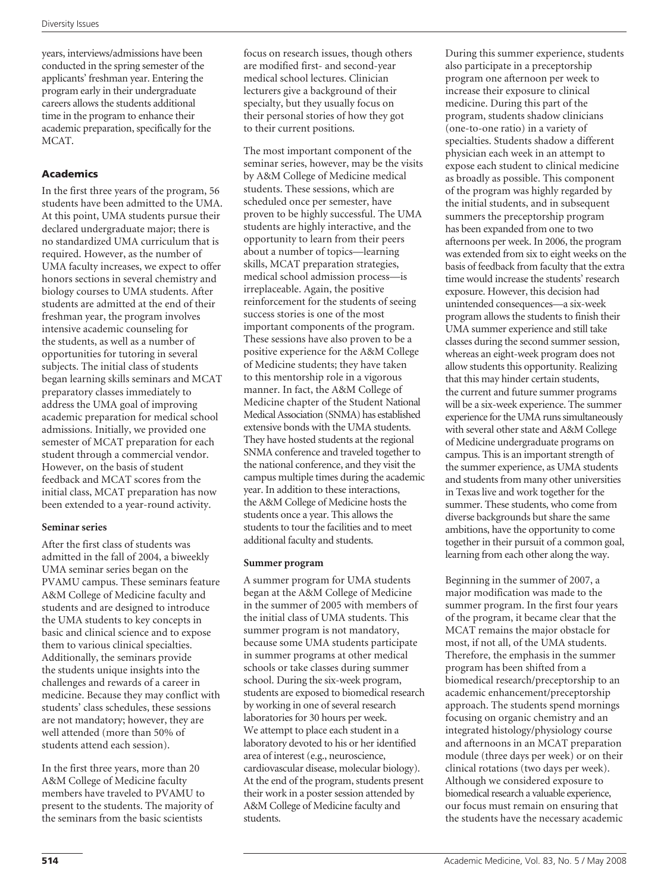years, interviews/admissions have been conducted in the spring semester of the applicants' freshman year. Entering the program early in their undergraduate careers allows the students additional time in the program to enhance their academic preparation, specifically for the MCAT.

## Academics

In the first three years of the program, 56 students have been admitted to the UMA. At this point, UMA students pursue their declared undergraduate major; there is no standardized UMA curriculum that is required. However, as the number of UMA faculty increases, we expect to offer honors sections in several chemistry and biology courses to UMA students. After students are admitted at the end of their freshman year, the program involves intensive academic counseling for the students, as well as a number of opportunities for tutoring in several subjects. The initial class of students began learning skills seminars and MCAT preparatory classes immediately to address the UMA goal of improving academic preparation for medical school admissions. Initially, we provided one semester of MCAT preparation for each student through a commercial vendor. However, on the basis of student feedback and MCAT scores from the initial class, MCAT preparation has now been extended to a year-round activity.

#### **Seminar series**

After the first class of students was admitted in the fall of 2004, a biweekly UMA seminar series began on the PVAMU campus. These seminars feature A&M College of Medicine faculty and students and are designed to introduce the UMA students to key concepts in basic and clinical science and to expose them to various clinical specialties. Additionally, the seminars provide the students unique insights into the challenges and rewards of a career in medicine. Because they may conflict with students' class schedules, these sessions are not mandatory; however, they are well attended (more than 50% of students attend each session).

In the first three years, more than 20 A&M College of Medicine faculty members have traveled to PVAMU to present to the students. The majority of the seminars from the basic scientists

focus on research issues, though others are modified first- and second-year medical school lectures. Clinician lecturers give a background of their specialty, but they usually focus on their personal stories of how they got to their current positions.

The most important component of the seminar series, however, may be the visits by A&M College of Medicine medical students. These sessions, which are scheduled once per semester, have proven to be highly successful. The UMA students are highly interactive, and the opportunity to learn from their peers about a number of topics—learning skills, MCAT preparation strategies, medical school admission process—is irreplaceable. Again, the positive reinforcement for the students of seeing success stories is one of the most important components of the program. These sessions have also proven to be a positive experience for the A&M College of Medicine students; they have taken to this mentorship role in a vigorous manner. In fact, the A&M College of Medicine chapter of the Student National Medical Association (SNMA) has established extensive bonds with the UMA students. They have hosted students at the regional SNMA conference and traveled together to the national conference, and they visit the campus multiple times during the academic year. In addition to these interactions, the A&M College of Medicine hosts the students once a year. This allows the students to tour the facilities and to meet additional faculty and students.

#### **Summer program**

A summer program for UMA students began at the A&M College of Medicine in the summer of 2005 with members of the initial class of UMA students. This summer program is not mandatory, because some UMA students participate in summer programs at other medical schools or take classes during summer school. During the six-week program, students are exposed to biomedical research by working in one of several research laboratories for 30 hours per week. We attempt to place each student in a laboratory devoted to his or her identified area of interest (e.g., neuroscience, cardiovascular disease, molecular biology). At the end of the program, students present their work in a poster session attended by A&M College of Medicine faculty and students.

During this summer experience, students also participate in a preceptorship program one afternoon per week to increase their exposure to clinical medicine. During this part of the program, students shadow clinicians (one-to-one ratio) in a variety of specialties. Students shadow a different physician each week in an attempt to expose each student to clinical medicine as broadly as possible. This component of the program was highly regarded by the initial students, and in subsequent summers the preceptorship program has been expanded from one to two afternoons per week. In 2006, the program was extended from six to eight weeks on the basis of feedback from faculty that the extra time would increase the students' research exposure. However, this decision had unintended consequences—a six-week program allows the students to finish their UMA summer experience and still take classes during the second summer session, whereas an eight-week program does not allow students this opportunity. Realizing that this may hinder certain students, the current and future summer programs will be a six-week experience. The summer experience for the UMA runs simultaneously with several other state and A&M College of Medicine undergraduate programs on campus. This is an important strength of the summer experience, as UMA students and students from many other universities in Texas live and work together for the summer. These students, who come from diverse backgrounds but share the same ambitions, have the opportunity to come together in their pursuit of a common goal, learning from each other along the way.

Beginning in the summer of 2007, a major modification was made to the summer program. In the first four years of the program, it became clear that the MCAT remains the major obstacle for most, if not all, of the UMA students. Therefore, the emphasis in the summer program has been shifted from a biomedical research/preceptorship to an academic enhancement/preceptorship approach. The students spend mornings focusing on organic chemistry and an integrated histology/physiology course and afternoons in an MCAT preparation module (three days per week) or on their clinical rotations (two days per week). Although we considered exposure to biomedical research a valuable experience, our focus must remain on ensuring that the students have the necessary academic